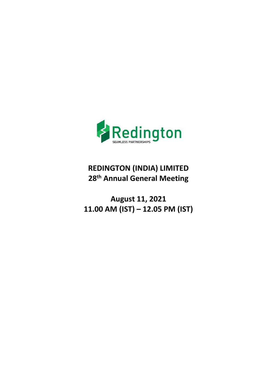

# **REDINGTON (INDIA) LIMITED <sup>28</sup>th Annual General Meeting**

**August 11, 2021 11.00 AM (IST) – 12.05 PM (IST)**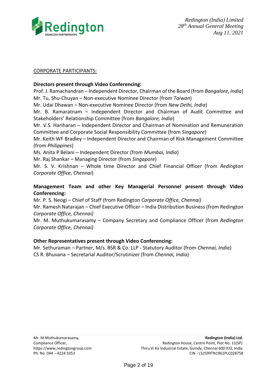

#### CORPORATE PARTICIPANTS:

### **Directors present through Video Conferencing:**

Prof. J. Ramachandran – Independent Director, Chairman of the Board (from *Bangalore, India*) Mr. Tu, Shu-Chuyan – Non-executive Nominee Director (from *Taiwan*) Mr. Udai Dhawan – Non-executive Nominee Director (from *New Delhi, India*) Mr. B. Ramaratnam – Independent Director and Chairman of Audit Committee and Stakeholders' Relationship Committee (from *Bangalore, India*) Mr. V.S. Hariharan – Independent Director and Chairman of Nomination and Remuneration Committee and Corporate Social Responsibility Committee (from *Singapore*) Mr. Keith WF Bradley – Independent Director and Chairman of Risk Management Committee (from *Philippines*) Ms. Anita P Belani – Independent Director (from *Mumbai, India*) Mr. Raj Shankar – Managing Director (from *Singapore*) Mr. S. V. Krishnan – Whole time Director and Chief Financial Officer (from *Redington Corporate Office, Chennai*)

# **Management Team and other Key Managerial Personnel present through Video Conferencing:**

Mr. P. S. Neogi – Chief of Staff (from Redington *Corporate Office, Chennai)*

Mr. Ramesh Natarajan – Chief Executive Officer – India Distribution Business (from Redington *Corporate Office, Chennai)*

Mr. M. Muthukumarasamy – Company Secretary and Compliance Officer (from *Redington Corporate Office, Chennai)*

# **Other Representatives present through Video Conferencing:**

Mr. Sethuraman – Partner, M/s. BSR & Co. LLP - Statutory Auditor (from *Chennai, India*) CS R. Bhuvana – Secretarial Auditor/Scrutinizer (from *Chennai, India*)

Mr. M Muthukumarasamy, **Redington (India) Ltd.** Compliance Officer, The Compliance Officer, Redington House, Centre Point, Plot No. 11(SP) https://www.redingtongroup.com Thiru Vi Ka Industrial Estate, Guindy, Chennai 600 032, India Ph. No. 044 – 4224 3353 CIN - L52599TN1961PLC028758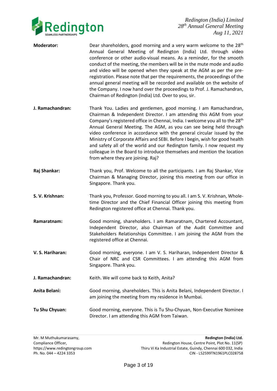

- **Moderator:** Dear shareholders, good morning and a very warm welcome to the 28<sup>th</sup> Annual General Meeting of Redington (India) Ltd. through video conference or other audio-visual means. As a reminder, for the smooth conduct of the meeting, the members will be in the mute mode and audio and video will be opened when they speak at the AGM as per the preregistration. Please note that per the requirements, the proceedings of the annual general meeting will be recorded and available on the website of the Company. I now hand over the proceedings to Prof. J. Ramachandran, Chairman of Redington (India) Ltd. Over to you, sir.
- **J. Ramachandran:** Thank You. Ladies and gentlemen, good morning. I am Ramachandran, Chairman & Independent Director. I am attending this AGM from your Company's registered office in Chennai, India. I welcome you all to the 28<sup>th</sup> Annual General Meeting. The AGM, as you can see being held through video conference in accordance with the general circular issued by the Ministry of Corporate Affairs and SEBI. Before I begin, wish for good health and safety all of the world and our Redington family. I now request my colleague in the Board to introduce themselves and mention the location from where they are joining. Raj?
- **Raj Shankar:** Thank you, Prof. Welcome to all the participants. I am Raj Shankar, Vice Chairman & Managing Director, joining this meeting from our office in Singapore. Thank you.
- **S. V. Krishnan:** Thank you, Professor. Good morning to you all. I am S. V. Krishnan, Wholetime Director and the Chief Financial Officer joining this meeting from Redington registered office at Chennai. Thank you.
- **Ramaratnam:** Good morning, shareholders. I am Ramaratnam, Chartered Accountant, Independent Director, also Chairman of the Audit Committee and Stakeholders Relationships Committee. I am joining the AGM from the registered office at Chennai.
- **V. S. Hariharan:** Good morning, everyone. I am V. S. Hariharan, Independent Director & Chair of NRC and CSR Committees. I am attending this AGM from Singapore. Thank you.
- **J. Ramachandran:** Keith. We will come back to Keith, Anita?
- **Anita Belani:** Good morning, shareholders. This is Anita Belani, Independent Director. I am joining the meeting from my residence in Mumbai.
- **Tu Shu Chyuan:** Good morning, everyone. This is Tu Shu-Chyuan, Non-Executive Nominee Director. I am attending this AGM from Taiwan.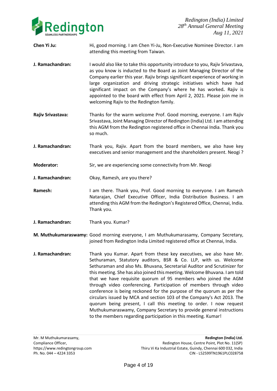

- **Chen Yi Ju:** Hi, good morning. I am Chen Yi-Ju, Non-Executive Nominee Director. I am attending this meeting from Taiwan.
- **J. Ramachandran:** I would also like to take this opportunity introduce to you, Rajiv Srivastava, as you know is inducted to the Board as Joint Managing Director of the Company earlier this year. Rajiv brings significant experience of working in large organization and driving strategic initiatives which have had significant impact on the Company's where he has worked**.** Rajiv is appointed to the board with effect from April 2, 2021. Please join me in welcoming Rajiv to the Redington family.
- **Rajiv Srivastava:** Thanks for the warm welcome Prof. Good morning, everyone. I am Rajiv Srivastava, Joint Managing Director of Redington (India) Ltd. I am attending this AGM from the Redington registered office in Chennai India. Thank you so much.
- **J. Ramachandran:** Thank you, Rajiv. Apart from the board members, we also have key executives and senior management and the shareholders present. Neogi ?
- **Moderator:** Sir, we are experiencing some connectivity from Mr. Neogi
- **J. Ramachandran:** Okay, Ramesh, are you there?
- **Ramesh:** I am there. Thank you, Prof. Good morning to everyone. I am Ramesh Natarajan, Chief Executive Officer, India Distribution Business. I am attending this AGM from the Redington's Registered Office, Chennai, India. Thank you.
- **J. Ramachandran:** Thank you. Kumar?
- **M. Muthukumaraswamy:** Good morning everyone, I am Muthukumarasamy, Company Secretary, joined from Redington India Limited registered office at Chennai, India.
- **J. Ramachandran:** Thank you Kumar. Apart from these key executives, we also have Mr. Sethuraman, Statutory auditors, BSR & Co. LLP, with us. Welcome Sethuraman and also Ms. Bhuvana, Secretarial Auditor and Scrutinizer for this meeting. She has also joined this meeting. Welcome Bhuvana. I am told that we have requisite quorum of 95 members who joined the AGM through video conferencing. Participation of members through video conference is being reckoned for the purpose of the quorum as per the circulars issued by MCA and section 103 of the Company's Act 2013. The quorum being present, I call this meeting to order. I now request Muthukumaraswamy, Company Secretary to provide general instructions to the members regarding participation in this meeting. Kumar!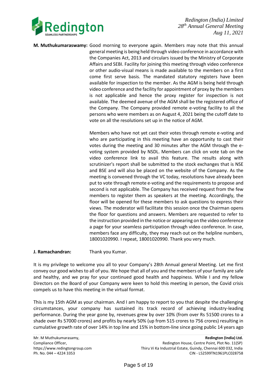

**M. Muthukumaraswamy:** Good morning to everyone again. Members may note that this annual general meeting is being held through video conference in accordance with the Companies Act, 2013 and circulars issued by the Ministry of Corporate Affairs and SEBI. Facility for joining this meeting through video conference or other audio-visual means is made available to the members on a first come first serve basis. The mandated statutory registers have been available for inspection to the member. As the AGM is being held through video conference and the facility for appointment of proxy by the members is not applicable and hence the proxy register for inspection is not available. The deemed avenue of the AGM shall be the registered office of the Company. The Company provided remote e-voting facility to all the persons who were members as on August 4, 2021 being the cutoff date to vote on all the resolutions set up in the notice of AGM.

> Members who have not yet cast their votes through remote e-voting and who are participating in this meeting have an opportunity to cast their votes during the meeting and 30 minutes after the AGM through the evoting system provided by NSDL. Members can click on vote tab on the video conference link to avail this feature. The results along with scrutinizer's report shall be submitted to the stock exchanges that is NSE and BSE and will also be placed on the website of the Company. As the meeting is convened through the VC today, resolutions have already been put to vote through remote e-voting and the requirements to propose and second is not applicable. The Company has received request from the few members to register them as speakers at the meeting. Accordingly, the floor will be opened for these members to ask questions to express their views. The moderator will facilitate this session once the Chairman opens the floor for questions and answers. Members are requested to refer to the instruction provided in the notice or appearing on the video conference a page for your seamless participation through video conference. In case, members face any difficulty, they may reach out on the helpline numbers, 18001020990. I repeat, 18001020990. Thank you very much.

#### **J. Ramachandran:** Thank you Kumar.

It is my privilege to welcome you all to your Company's 28th Annual general Meeting. Let me first convey our good wishes to all of you. We hope that all of you and the members of your family are safe and healthy, and we pray for your continued good health and happiness. While I and my fellow Directors on the Board of your Company were keen to hold this meeting in person, the Covid crisis compels us to have this meeting in the virtual format.

This is my 15th AGM as your chairman. And I am happy to report to you that despite the challenging circumstances, your company has sustained its track record of achieving industry-leading performance. During the year gone by, revenues grew by over 10% (from over Rs 51500 crores to a shade over Rs 57000 crores) and profits by nearly 50% (up from 515 crores to 756 crores) resulting in cumulative growth rate of over 14% in top line and 15% in bottom-line since going public 14 years ago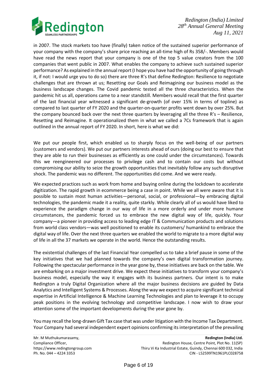

in 2007. The stock markets too have (finally) taken notice of the sustained superior performance of your company with the company's share price reaching an all-time high of Rs 358/-. Members would have read the news report that your company is one of the top 5 value creators from the 100 companies that went public in 2007. What enables the company to achieve such sustained superior performance? As explained in the annual report (I hope you have had the opportunity of going through it, if not: I would urge you to do so) there are three R's that define Redington: Resilience to negotiate challenges that are thrown at us; Resetting our Goals and Reimagining our business model as the business landscape changes. The Covid pandemic tested all the three characteristics. When the pandemic hit us all, operations came to a near standstill. Members would recall that the first quarter of the last financial year witnessed a significant de-growth (of over 15% in terms of topline) as compared to last quarter of FY 2020 and the quarter-on-quarter profits went down by over 25%. But the company bounced back over the next three quarters by leveraging all the three R's – Resilience, Resetting and Reimagine. It operationalized them in what we called a 7Cs framework that is again outlined in the annual report of FY 2020. In short, here is what we did:

We put our people first, which enabled us to sharply focus on the well-being of our partners (customers and vendors). We put our partners interests ahead of ours (doing our best to ensure that they are able to run their businesses as efficiently as one could under the circumstances). Towards this we reengineered our processes to privilege cash and to contain our costs but without compromising our ability to seize the growth opportunities that inevitably follow any such disruptive shock. The pandemic was no different. The opportunities did come. And we were ready.

We expected practices such as work from home and buying online during the lockdown to accelerate digitization. The rapid growth in ecommerce being a case in point. While we all were aware that it is possible to sustain most human activities—personal, social, or professional—by embracing digital technologies, the pandemic made it a reality, quite starkly. While clearly all of us would have liked to experience the paradigm change in our way of life in a more orderly and under more humane circumstances, the pandemic forced us to embrace the new digital way of life, quickly. Your company—a pioneer in providing access to leading edge IT & Communication products and solutions from world class vendors—was well positioned to enable its customers/ humankind to embrace the digital way of life. Over the next three quarters we enabled the world to migrate to a more digital way of life in all the 37 markets we operate in the world. Hence the outstanding results.

The existential challenges of the last Financial Year compelled us to take a brief pause in some of the key initiatives that we had planned towards the company's own digital transformation journey. Following the spectacular performance in the year gone by, these initiatives are back on the table. We are embarking on a major investment drive. We expect these initiatives to transform your company's business model, especially the way it engages with its business partners. Our intent is to make Redington a truly Digital Organization where all the major business decisions are guided by Data Analytics and Intelligent Systems & Processes. Along the way we expect to acquire significant technical expertise in Artificial Intelligence & Machine Learning Technologies and plan to leverage it to occupy peak positions in the evolving technology and competitive landscape. I now wish to draw your attention some of the important developments during the year gone by.

You may recall the long-drawn Gift Tax case that was under litigation with the Income Tax Department. Your Company had several independent expert opinions confirming its interpretation of the prevailing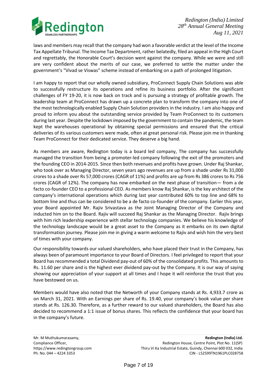

laws and members may recall that the company had won a favorable verdict at the level of the Income Tax Appellate Tribunal. The Income Tax Department, rather belatedly, filed an appeal in the High Court and regrettably, the Honorable Court's decision went against the company. While we were and still are very confident about the merits of our case, we preferred to settle the matter under the government's "Vivad se Viswas" scheme instead of embarking on a path of prolonged litigation.

I am happy to report that our wholly owned subsidiary, ProConnect Supply Chain Solutions was able to successfully restructure its operations and refine its business portfolio. After the significant challenges of FY 19-20, it is now back on track and is pursuing a strategy of profitable growth. The leadership team at ProConnect has drawn up a concrete plan to transform the company into one of the most technologically enabled Supply Chain Solution providers in the industry. I am also happy and proud to inform you about the outstanding service provided by Team ProConnect to its customers during last year. Despite the lockdown imposed by the government to contain the pandemic, the team kept the warehouses operational by obtaining special permissions and ensured that the critical deliveries of its various customers were made, often at great personal risk. Please join me in thanking Team ProConnect for their dedicated service. They deserve a big hand.

As members are aware, Redington today is a board led company, The company has successfully managed the transition from being a promoter-led company following the exit of the promoters and the founding CEO in 2014-2015. Since then both revenues and profits have grown. Under Raj Shankar, who took over as Managing Director, seven years ago revenues are up from a shade under Rs 31,000 crores to a shade over Rs 57,000 crores (CAGR of 11%) and profits are up from Rs 386 crores to Rs 756 crores (CAGR of 12%). The company has now embarked on the next phase of transition— from a de facto co-founder CEO to a professional CEO. As members know Raj Shankar, is the key architect of the company's international operations which during last year contributed 60% to top line and 68% to bottom line and thus can be considered to be a de facto co-founder of the company. Earlier this year, your Board appointed Mr. Rajiv Srivastava as the Joint Managing Director of the Company and inducted him on to the Board. Rajiv will succeed Raj Shankar as the Managing Director. Rajiv brings with him rich leadership experience with stellar technology companies. We believe his knowledge of the technology landscape would be a great asset to the Company as it embarks on its own digital transformation journey. Please join me in giving a warm welcome to Rajiv and wish him the very best of times with your company.

Our responsibility towards our valued shareholders, who have placed their trust in the Company, has always been of paramount importance to your Board of Directors. I feel privileged to report that your Board has recommended a total Dividend pay-out of 60% of the consolidated profits. This amounts to Rs. 11.60 per share and is the highest ever dividend pay-out by the Company. It is our way of saying showing our appreciation of your support at all times and I hope it will reinforce the trust that you have bestowed on us.

Members would have also noted that the Networth of your Company stands at Rs. 4,933.7 crore as on March 31, 2021. With an Earnings per share of Rs. 19.40, your company's book value per share stands at Rs. 126.30. Therefore, as a further reward to our valued shareholders, the Board has also decided to recommend a 1:1 issue of bonus shares. This reflects the confidence that your board has in the company's future.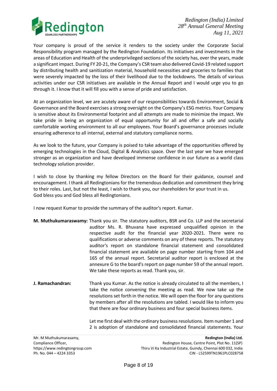

Your company is proud of the service it renders to the society under the Corporate Social Responsibility program managed by the Redington Foundation. Its initiatives and investments in the areas of Education and Health of the underprivileged sections of the society has, over the years, made a significant impact. During FY 20-21, the Company's CSR team also delivered Covid-19 related support by distributing health and sanitization material, household necessities and groceries to families that were severely impacted by the loss of their livelihood due to the lockdowns. The details of various activities under our CSR initiatives are available in the Annual Report and I would urge you to go through it. I know that it will fill you with a sense of pride and satisfaction.

At an organization level, we are acutely aware of our responsibilities towards Environment, Social & Governance and the Board exercises a strong oversight on the Company's ESG metrics. Your Company is sensitive about its Environmental footprint and all attempts are made to minimize the impact. We take pride in being an organization of equal opportunity for all and offer a safe and socially comfortable working environment to all our employees. Your Board's governance processes include ensuring adherence to all internal, external and statutory compliance norms.

As we look to the future, your Company is poised to take advantage of the opportunities offered by emerging technologies in the Cloud, Digital & Analytics space. Over the last year we have emerged stronger as an organization and have developed immense confidence in our future as a world class technology solution provider.

I wish to close by thanking my fellow Directors on the Board for their guidance, counsel and encouragement. I thank all Redingtonians for the tremendous dedication and commitment they bring to their roles. Last, but not the least, I wish to thank you, our shareholders for your trust in us. God bless you and God bless all Redingtonians.

I now request Kumar to provide the summary of the auditor's report. Kumar.

- **M. Muthukumaraswamy:** Thank you sir. The statutory auditors, BSR and Co. LLP and the secretarial auditor Ms. R. Bhuvana have expressed unqualified opinion in the respective audit for the financial year 2020-2021. There were no qualifications or adverse comments on any of these reports. The statutory auditor's report on standalone financial statement and consolidated financial statement are available on page number starting from 104 and 165 of the annual report. Secretarial auditor report is enclosed at the annexure G to the board's report on page number 59 of the annual report. We take these reports as read. Thank you, sir.
- **J. Ramachandran:** Thank you Kumar. As the notice is already circulated to all the members, I take the notice convening the meeting as read. We now take up the resolutions set forth in the notice. We will open the floor for any questions by members after all the resolutions are tabled. I would like to inform you that there are four ordinary business and four special business items.

Let me first deal with the ordinary business resolutions. Item number 1 and 2 is adoption of standalone and consolidated financial statements. Your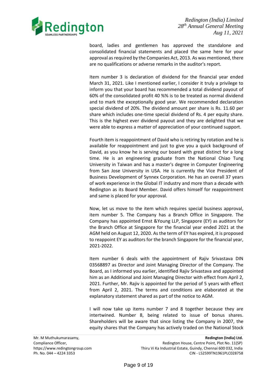

board, ladies and gentlemen has approved the standalone and consolidated financial statements and placed the same here for your approval as required by the Companies Act, 2013. As was mentioned, there are no qualifications or adverse remarks in the auditor's report.

Item number 3 is declaration of dividend for the financial year ended March 31, 2021. Like I mentioned earlier, I consider it truly a privilege to inform you that your board has recommended a total dividend payout of 60% of the consolidated profit 40 %% is to be treated as normal dividend and to mark the exceptionally good year. We recommended declaration special dividend of 20%. The dividend amount per share is Rs. 11.60 per share which includes one-time special dividend of Rs. 4 per equity share. This is the highest ever dividend payout and they are delighted that we were able to express a matter of appreciation of your continued support.

Fourth item is reappointment of David who is retiring by rotation and he is available for reappointment and just to give you a quick background of David, as you know he is serving our board with great distinct for a long time. He is an engineering graduate from the National Chiao Tung University in Taiwan and has a master's degree in Computer Engineering from San Jose University in USA. He is currently the Vice President of Business Development of Synnex Corporation. He has an overall 37 years of work experience in the Global IT industry and more than a decade with Redington as its Board Member. David offers himself for reappointment and same is placed for your approval.

Now, let us move to the item which requires special business approval, item number 5. The Company has a Branch Office in Singapore. The Company has appointed Ernst &Young LLP, Singapore (EY) as auditors for the Branch Office at Singapore for the financial year ended 2021 at the AGM held on August 12, 2020. As the term of EY has expired, it is proposed to reappoint EY as auditors for the branch Singapore for the financial year, 2021-2022.

Item number 6 deals with the appointment of Rajiv Srivastava DIN 03568897 as Director and Joint Managing Director of the Company. The Board, as I informed you earlier, identified Rajiv Srivastava and appointed him as an Additional and Joint Managing Director with effect from April 2, 2021. Further, Mr. Rajiv is appointed for the period of 5 years with effect from April 2, 2021. The terms and conditions are elaborated at the explanatory statement shared as part of the notice to AGM.

I will now take up items number 7 and 8 together because they are intertwined. Number 8, being related to issue of bonus shares. Shareholders will be aware that since listing the Company in 2007, the equity shares that the Company has actively traded on the National Stock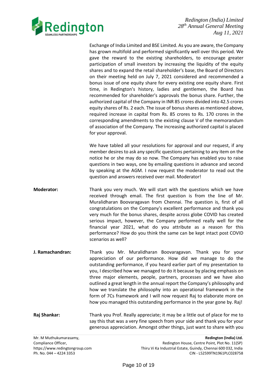

Exchange of India Limited and BSE Limited. As you are aware, the Company has grown multifold and performed significantly well over this period. We gave the reward to the existing shareholders, to encourage greater participation of small investors by increasing the liquidity of the equity shares and to expand the retail shareholder's base, the Board of Directors on their meeting held on July 7, 2021 considered and recommended a bonus issue of one equity share for every existing one equity share. First time, in Redington's history, ladies and gentlemen, the Board has recommended for shareholder's approvals the bonus share. Further, the authorized capital of the Company in INR 85 crores divided into 42.5 crores equity shares of Rs. 2 each. The issue of bonus shares as mentioned above, required increase in capital from Rs. 85 crores to Rs. 170 crores in the corresponding amendments to the existing clause V of the memorandum of association of the Company. The increasing authorized capital is placed for your approval.

We have tabled all your resolutions for approval and our request, if any member desires to ask any specific questions pertaining to any item on the notice he or she may do so now. The Company has enabled you to raise questions in two ways, one by emailing questions in advance and second by speaking at the AGM. I now request the moderator to read out the question and answers received over mail. Moderator!

- **Moderator:** Thank you very much. We will start with the questions which we have received through email. The first question is from the line of Mr. Muralidharan Boovaragavan from Chennai. The question is, first of all congratulations on the Company's excellent performance and thank you very much for the bonus shares, despite across globe COVID has created serious impact, however, the Company performed really well for the financial year 2021, what do you attribute as a reason for this performance? How do you think the same can be kept intact post COVID scenarios as well?
- **J. Ramachandran:** Thank you Mr. Muralidharan Boovaragavan. Thank you for your appreciation of our performance. How did we manage to do the outstanding performance, if you heard earlier part of my presentation to you, I described how we managed to do it because by placing emphasis on three major elements, people, partners, processes and we have also outlined a great length in the annual report the Company's philosophy and how we translate the philosophy into an operational framework in the form of 7Cs framework and I will now request Raj to elaborate more on how you managed this outstanding performance in the year gone by. Raj!
- **Raj Shankar:** Thank you Prof. Really appreciate; it may be a little out of place for me to say this that was a very fine speech from your side and thank you for your generous appreciation. Amongst other things, just want to share with you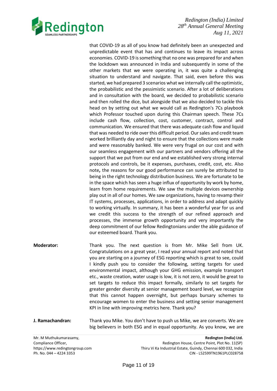

that COVID-19 as all of you know had definitely been an unexpected and unpredictable event that has and continues to leave its impact across economies. COVID-19 is something that no one was prepared for and when the lockdown was announced in India and subsequently in some of the other markets that we were operating in, it was quite a challenging situation to understand and navigate. That said, even before this was started, we had prepared 3 scenarios what we internally call the optimistic, the probabilistic and the pessimistic scenario. After a lot of deliberations and in consultation with the board, we decided to probabilistic scenario and then rolled the dice, but alongside that we also decided to tackle this head on by setting out what we would call as Redington's 7Cs playbook which Professor touched upon during this Chairman speech. These 7Cs include cash flow, collection, cost, customer, contract, control and communication. We ensured that there was adequate cash flow and liquid that was needed to ride over this difficult period. Our sales and credit team worked brilliantly day and night to ensure that the collections were made and were reasonably banked. We were very frugal on our cost and with our seamless engagement with our partners and vendors offering all the support that we put from our end and we established very strong internal protocols and controls, be it expenses, purchases, credit, cost, etc. Also note**,** the reasons for our good performance can surely be attributed to being in the right technology distribution business. We are fortunate to be in the space which has seen a huge influx of opportunity by work by home, learn from home requirements. We saw the multiple devices ownership play out in all of our homes. We saw organizations, having to revamp their IT systems, processes, applications, in order to address and adapt quickly to working virtually. In summary, it has been a wonderful year for us and we credit this success to the strength of our refined approach and processes, the immense growth opportunity and very importantly the deep commitment of our fellow Redingtonians under the able guidance of our esteemed board. Thank you.

- **Moderator:** Thank you. The next question is from Mr. Mike Sell from UK. Congratulations on a great year, I read your annual report and noted that you are starting on a journey of ESG reporting which is great to see, could I kindly push you to consider the following, setting targets for used environmental impact, although your GHG emission, example transport etc., waste creation, water usage is low, it is not zero, it would be great to set targets to reduce this impact formally, similarly to set targets for greater gender diversity at senior management board level, we recognize that this cannot happen overnight, but perhaps bursary schemes to encourage women to enter the business and setting senior management KPI in line with improving metrics here. Thank you?
- **J. Ramachandran:** Thank you Mike. You don't have to push us Mike, we are converts. We are big believers in both ESG and in equal opportunity. As you know, we are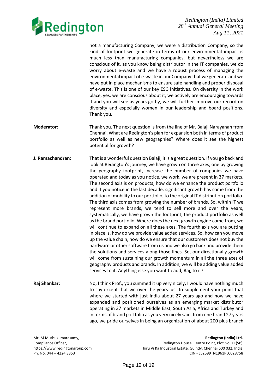

not a manufacturing Company, we were a distribution Company, so the kind of footprint we generate in terms of our environmental impact is much less than manufacturing companies, but nevertheless we are conscious of it, as you know being distributor in the IT companies, we do worry about e-waste and we have a robust process of managing the environmental impact of e-waste in our Company that we generate and we have put in place mechanisms to ensure safe handling and proper disposal of e-waste. This is one of our key ESG initiatives. On diversity in the work place, yes, we are conscious about it, we actively are encouraging towards it and you will see as years go by, we will further improve our record on diversity and especially women in our leadership and board positions. Thank you.

- **Moderator:** Thank you. The next question is from the line of Mr. Balaji Narayanan from Chennai. What are Redington's plan for expansion both in terms of product portfolio as well as new geographies? Where does it see the highest potential for growth?
- **J. Ramachandran:** That is a wonderful question Balaji, it is a great question. If you go back and look at Redington's journey, we have grown on three axes, one by growing the geography footprint, increase the number of companies we have operated and today as you notice, we work, we are present in 37 markets. The second axis is on products, how do we enhance the product portfolio and if you notice in the last decade, significant growth has come from the addition of mobility to our portfolio, to the original IT distribution portfolio. The third axis comes from growing the number of brands. So, within IT we represent more brands, we tend to sell more and over the years, systematically, we have grown the footprint, the product portfolio as well as the brand portfolio. Where does the next growth engine come from, we will continue to expand on all these axes. The fourth axis you are putting in place is, how do we provide value added services. So, how can you move up the value chain, how do we ensure that our customers does not buy the hardware or other software from us and we also go back and provide them the solutions and services along those lines. So, our directionally growth will come from sustaining our growth momentum in all the three axes of geography products and brands. In addition, we will be adding value added services to it. Anything else you want to add, Raj, to it?
- **Raj Shankar:** No, I think Prof., you summed it up very nicely, I would have nothing much to say except that we over the years just to supplement your point that where we started with just India about 27 years ago and now we have expanded and positioned ourselves as an emerging market distributor operating in 37 markets in Middle East, South Asia, Africa and Turkey and in terms of brand portfolio as you very nicely said, from one brand 27 years ago, we pride ourselves in being an organization of about 200 plus branch

Mr. M Muthukumarasamy, **Redington (India) Ltd.** Compliance Officer, The Compliance Officer, Redington House, Centre Point, Plot No. 11(SP) https://www.redingtongroup.com Thiru Vi Ka Industrial Estate, Guindy, Chennai 600 032, India Ph. No. 044 – 4224 3353 CIN - L52599TN1961PLC028758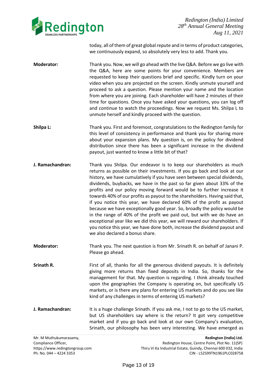

today, all of them of great global repute and in terms of product categories, we continuously expand, so absolutely very less to add. Thank you.

- **Moderator:** Thank you. Now, we will go ahead with the live Q&A. Before we go live with the Q&A, here are some points for your convenience. Members are requested to keep their questions brief and specific. Kindly turn on your video when you are projected on the screen. Kindly unmute yourself and proceed to ask a question. Please mention your name and the location from where you are joining. Each shareholder will have 2 minutes of their time for questions. Once you have asked your questions, you can log off and continue to watch the proceedings. Now we request Ms. Shilpa L to unmute herself and kindly proceed with the question.
- **Shilpa L:** Thank you. First and foremost, congratulations to the Redington family for this level of consistency in performance and thank you for sharing more about your expansion plans. My question is, on the policy for dividend distribution since there has been a significant increase in the dividend payout, just wanted to know a little bit of that?
- **J. Ramachandran:** Thank you Shilpa. Our endeavor is to keep our shareholders as much returns as possible on their investments. If you go back and look at our history, we have cumulatively if you have seen between special dividends, dividends, buybacks, we have in the past so far given about 33% of the profits and our policy moving forward would be to further increase it towards 40% of our profits as payout to the shareholders. Having said that, if you notice this year, we have declared 60% of the profit as payout because we have exceptionally good year. So, broadly the policy would be in the range of 40% of the profit we paid out, but with we do have an exceptional year like we did this year, we will reward our shareholders. If you notice this year, we have done both, increase the dividend payout and we also declared a bonus share.
- **Moderator:** Thank you. The next question is from Mr. Srinath R. on behalf of Janani P. Please go ahead.
- **Srinath R.** First of all, thanks for all the generous dividend payouts. It is definitely giving more returns than fixed deposits in India. So, thanks for the management for that. My question is regarding. I think already touched upon the geographies the Company is operating on, but specifically US markets, or is there any plans for entering US markets and do you see like kind of any challenges in terms of entering US markets?
- **J. Ramachandran:** It is a huge challenge Srinath. If you ask me, I not to go to the US market, but US shareholders say where is the return? It got very competitive market and if you go back and look at our own Company's evaluation, Srinath, our philosophy has been very interesting. We have emerged as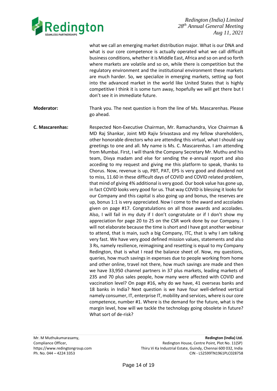

what we call an emerging market distribution major. What is our DNA and what is our core competence is actually operated what we call difficult business conditions, whether it is Middle East, Africa and so on and so forth where markets are volatile and so on, while there is competition but the regulatory environment and the institutional environment these markets are much harder. So, we specialize in emerging markets, setting up foot into the advanced market in the world like United States that is highly competitive I think it is some turn away, hopefully we will get there but I don't see it in immediate future.

**Moderator:** Thank you. The next question is from the line of Ms. Mascarenhas. Please go ahead.

**C. Mascarenhas:** Respected Non-Executive Chairman, Mr. Ramachandra, Vice Chairman & MD Raj Shankar, Joint MD Rajiv Srivastava and my fellow shareholders, other honorable directors who are attending this virtual, what I should say greetings to one and all. My name is Ms. C. Mascarenhas. I am attending from Mumbai. First, I will thank the Company Secretary Mr. Muthu and his team, Divya madam and else for sending the e-annual report and also acceding to my request and giving me this platform to speak, thanks to Chorus. Now, revenue is up, PBT, PAT, EPS is very good and dividend not to miss, 11.60 in these difficult days of COVID and COVID related problem, that mind of giving 4% additional is very good. Our book value has gone up, in fact COVID looks very good for us. That way COVID is blessing it looks for our Company and this capital is also going up and bonus, the reserves are up, bonus 1:1 is very appreciated. Now I come to the award and accolades given on page #17. Congratulations on all those awards and accolades. Also, I will fail in my duty if I don't congratulate or if I don't show my appreciation for page 20 to 25 on the CSR work done by our Company. I will not elaborate because the time is short and I have got another webinar to attend, that is main, such a big Company, ITC, that is why I am talking very fast. We have very good defined mission values, statements and also 3 Rs, namely resilience, reimagining and resetting is equal to my Company Redington, that is what I read the balance sheet of. Now, my questions, queries, how much savings in expenses due to people working from home and other online, travel not there, how much savings are made and then we have 33,950 channel partners in 37 plus markets, leading markets of 235 and 70 plus sales people, how many were affected with COVID and vaccination level? On page #16, why do we have, 41 overseas banks and 18 banks in India? Next question is we have four well-defined vertical namely consumer, IT, enterprise IT, mobility and services, where is our core competence, number #1. Where is the demand for the future, what is the margin level, how will we tackle the technology going obsolete in future? What sort of de-risk?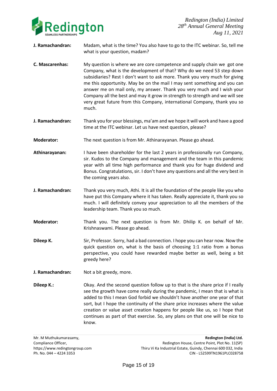

- **J. Ramachandran:** Madam, what is the time? You also have to go to the ITC webinar. So, tell me what is your question, madam?
- **C. Mascarenhas:** My question is where we are core competence and supply chain we got one Company, what is the development of that? Why do we need 53 step down subsidiaries? Rest I don't want to ask more. Thank you very much for giving me this opportunity. May be on the mail I may sent something and you can answer me on mail only, my answer. Thank you very much and I wish your Company all the best and may it grow in strength to strength and we will see very great future from this Company, international Company, thank you so much.
- **J. Ramachandran:** Thank you for your blessings, ma'am and we hope it will work and have a good time at the ITC webinar. Let us have next question, please?
- **Moderator:** The next question is from Mr. Athinarayanan. Please go ahead.
- **Athinarayanan:** I have been shareholder for the last 2 years in professionally run Company, sir. Kudos to the Company and management and the team in this pandemic year with all time high performance and thank you for huge dividend and Bonus. Congratulations, sir. I don't have any questions and all the very best in the coming years also.
- **J. Ramachandran:** Thank you very much, Athi. It is all the foundation of the people like you who have put this Company where it has taken. Really appreciate it, thank you so much. I will definitely convey your appreciation to all the members of the leadership team. Thank you so much.
- **Moderator:** Thank you. The next question is from Mr. Dhilip K. on behalf of Mr. Krishnaswami. Please go ahead.
- **Dileep K.** Sir, Professor. Sorry, had a bad connection. I hope you can hear now. Now the quick question on, what is the basis of choosing 1:1 ratio from a bonus perspective, you could have rewarded maybe better as well, being a bit greedy here?
- **J. Ramachandran:** Not a bit greedy, more.
- **Dileep K.:** Okay. And the second question follow up to that is the share price if I really see the growth have come really during the pandemic, I mean that is what is added to this I mean God forbid we shouldn't have another one year of that sort, but I hope the continuity of the share price increases where the value creation or value asset creation happens for people like us, so I hope that continues as part of that exercise. So, any plans on that one will be nice to know.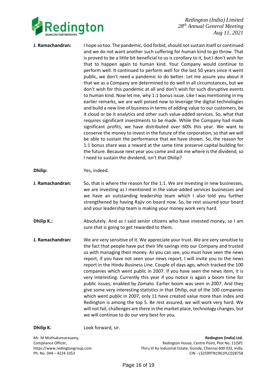

- **J. Ramachandran:** I hope so too. The pandemic, God forbid, should not sustain itself or continued and we do not want another such suffering for human kind to go throw. That is proved to be a little bit beneficial to us is corollary to it, but I don't wish for that to happen again to human kind. Your Company would continue to perform well. It continued to perform well for the last 50 years since it went public, we don't need a pandemic to do better. Let me assure you about it that we as a Company are determined to do well in all circumstances, but we don't wish for this pandemic at all and don't wish for such disruptive events to human kind. Now let me, why 1:1 bonus issue. Like I was mentioning in my earlier remarks, we are well poised now to leverage the digital technologies and build a new line of business in terms of adding value to our customers, be it cloud or be it analytics and other such value-added services. So, what that requires significant investments to be made. While the Company had made significant profits, we have distributed over 60% this year. We want to conserve the money to invest in the future of the corporation, so that we will be able to sustain the performance that we have shown. So, the reason for 1:1 bonus share was a reward at the same time preserve capital building for the future. Because next year you come and ask me where is the dividend, so I need to sustain the dividend, isn't that Dhilip?
- **Dhilip:** Yes, indeed.
- **J. Ramachandran:** So, that is where the reason for the 1:1. We are investing in new businesses, we are investing as I mentioned in the value-added services businesses and we have an outstanding leadership team which I also told you further strengthened by having Rajiv on board now. So, be rest assured your board and your leadership team is making your money work very hard.
- **Dhilip K.:** Absolutely. And as I said senior citizens who have invested money, so I am sure that is going to get rewarded to them.
- **J. Ramachandran:** We are very sensitive of it. We appreciate your trust. We are very sensitive to the fact that people have put their life savings into our Company and trusted us with managing their money. As you can see, you must have seen the news report, if you have not seen your news report, I will invite you to the news report in the Hindu Business Line. Couple of days ago, which tracked the 100 companies which went public in 2007. If you have seen the news item, it is very interesting. Currently this year if you notice is again a boom time for public issues, enabled by Zomato. Earlier boom was seen in 2007. And they give some very interesting statistics in that Dhilip, out of the 100 companies which went public in 2007, only 11 have created value more than index and Redington is among the top 5. Be rest assured, we will work very hard. We will not fail, challenges are there in the market place, technology changes, but we will continue to do our very best for you.

**Dhilip K.** Look forward, sir.

Mr. M Muthukumarasamy, **Redington (India) Ltd.** Compliance Officer, The Compliance Officer, Redington House, Centre Point, Plot No. 11(SP) https://www.redingtongroup.com Thiru Vi Ka Industrial Estate, Guindy, Chennai 600 032, India Ph. No. 044 – 4224 3353 CIN - L52599TN1961PLC028758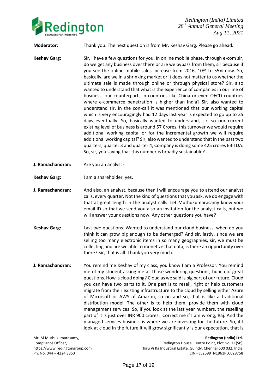

**Moderator:** Thank you. The next question is from Mr. Keshav Garg. Please go ahead.

- **Keshav Garg:** Sir, I have a few questions for you. In online mobile phase, through e-com sir, do we get any business over there or are we bypass from them, sir because if you see the online mobile sales increase from 2016, 10% to 55% now. So, basically, are we in a shrinking market or it does not matter to us whether the ultimate sale is made through online or through physical store? Sir, also wanted to understand that what is the experience of companies in our line of business, our counterparts in countries like China or even OECD countries where e-commerce penetration is higher than India? Sir, also wanted to understand sir, in the con-call it was mentioned that our working capital which is very encouragingly had 12 days last year is expected to go up to 35 days eventually. So, basically wanted to understand, sir, so our current existing level of business is around 57 Crores, this turnover we would require additional working capital or for the incremental growth we will require additional working capital? Sir, also wanted to understand that in the past two quarters, quarter 3 and quarter 4, Company is doing some 425 crores EBITDA. So, sir, you saying that this number is broadly sustainable?
- **J. Ramachandran:** Are you an analyst?
- **Keshav Garg:** I am a shareholder, yes.
- **J. Ramachandran:** And also, an analyst, because then I will encourage you to attend our analyst calls, every quarter. Not the kind of questions that you ask, we do engage with that at great length in the analyst calls. Let Muthukumarasamy know your email ID so that we send you also an invitation for the analyst calls, but we will answer your questions now. Any other questions you have?
- **Keshav Garg:** Last two questions. Wanted to understand our cloud business, when do you think it can grow big enough to be demerged? And sir, lastly, since we are selling too many electronic items in so many geographies, sir, we must be collecting and are we able to monetize that data, is there an opportunity over there? Sir, that is all. Thank you very much.
- **J. Ramachandran:** You remind me Keshav of my class, you know I am a Professor. You remind me of my student asking me all those wondering questions, bunch of great questions. How is cloud doing? Cloud as we said is big part of our future**.** Cloud you can have two parts to it. One part is to resell, right or help customers migrate from their existing infrastructure to the cloud by selling either Azure of Microsoft or AWS of Amazon, so on and so, that is like a traditional distribution model. The other is to help them, provide them with cloud management services. So, if you look at the last year numbers, the reselling part of it is just over INR 900 crores. Correct me if I am wrong, Raj. And the managed services business is where we are investing for the future. So, if I look at cloud in the future it will grow significantly is our expectation, that is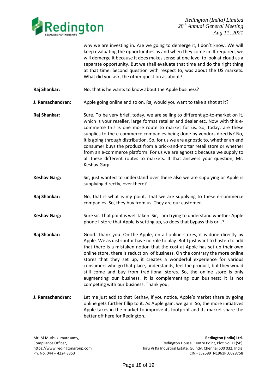

why we are investing in. Are we going to demerge it, I don't know. We will keep evaluating the opportunities as and when they come in. If required, we will demerge it because it does makes sense at one level to look at cloud as a separate opportunity. But we shall evaluate that time and do the right thing at that time. Second question with respect to, was about the US markets. What did you ask, the other question as about?

**Raj Shankar:** No, that is he wants to know about the Apple business?

**J. Ramachandran:** Apple going online and so on, Raj would you want to take a shot at it?

- Raj Shankar: Sure. To be very brief, today, we are selling to different go-to-market on it, which is your reseller, large format retailer and dealer etc. Now with this ecommerce this is one more route to market for us. So, today, are these supplies to the e-commerce companies being done by vendors directly? No, it is going through distribution. So, for us we are agnostic to, whether an end consumer buys the product from a brick-and-mortar retail store or whether from an e-commerce platform. For us we are agnostic because we supply to all these different routes to markets. If that answers your question, Mr. Keshav Garg.
- **Keshav Garg:** Sir, just wanted to understand over there also we are supplying or Apple is supplying directly, over there?
- **Raj Shankar:** No, that is what is my point. That we are supplying to these e-commerce companies. So, they buy from us. They are our customer.
- Keshav Garg: Sure sir. That point is well taken. Sir, I am trying to understand whether Apple phone I-store that Apple is setting up, so does that bypass this or…?
- **Raj Shankar:** Good. Thank you. On the Apple, on all online stores, it is done directly by Apple. We as distributor have no role to play. But I just want to hasten to add that there is a mistaken notion that the cost at Apple has set up their own online store, there is reduction of business. On the contrary the more online stores that they set up, it creates a wonderful experience for various consumers who go that place, understands, feel the product, but they would still come and buy from traditional stores. So, the online store is only augmenting our business. It is complementing our business; it is not competing with our business. Thank you.
- **J. Ramachandran:** Let me just add to that Keshav, if you notice, Apple's market share by going online gets further fillip to it. As Apple gain, we gain. So, the more initiatives Apple takes in the market to improve its footprint and its market share the better off here for Redington.